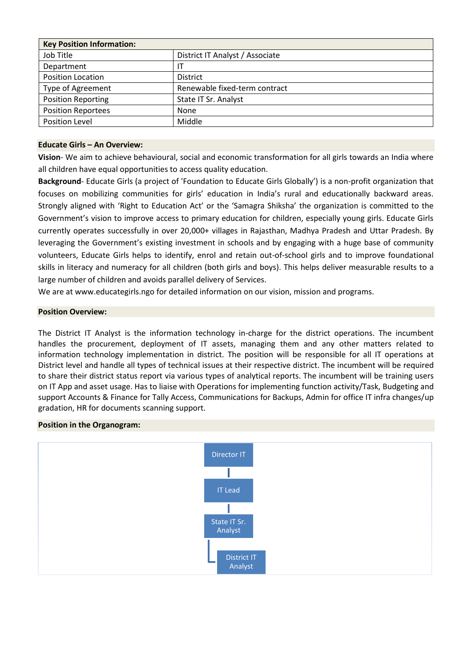| <b>Key Position Information:</b> |                                 |  |  |
|----------------------------------|---------------------------------|--|--|
| Job Title                        | District IT Analyst / Associate |  |  |
| Department                       | ΙT                              |  |  |
| <b>Position Location</b>         | <b>District</b>                 |  |  |
| <b>Type of Agreement</b>         | Renewable fixed-term contract   |  |  |
| <b>Position Reporting</b>        | State IT Sr. Analyst            |  |  |
| <b>Position Reportees</b>        | None                            |  |  |
| <b>Position Level</b>            | Middle                          |  |  |

## **Educate Girls – An Overview:**

**Vision**- We aim to achieve behavioural, social and economic transformation for all girls towards an India where all children have equal opportunities to access quality education.

**Background**- Educate Girls (a project of 'Foundation to Educate Girls Globally') is a non-profit organization that focuses on mobilizing communities for girls' education in India's rural and educationally backward areas. Strongly aligned with 'Right to Education Act' or the 'Samagra Shiksha' the organization is committed to the Government's vision to improve access to primary education for children, especially young girls. Educate Girls currently operates successfully in over 20,000+ villages in Rajasthan, Madhya Pradesh and Uttar Pradesh. By leveraging the Government's existing investment in schools and by engaging with a huge base of community volunteers, Educate Girls helps to identify, enrol and retain out-of-school girls and to improve foundational skills in literacy and numeracy for all children (both girls and boys). This helps deliver measurable results to a large number of children and avoids parallel delivery of Services.

We are at www.educategirls.ngo for detailed information on our vision, mission and programs.

## **Position Overview:**

The District IT Analyst is the information technology in-charge for the district operations. The incumbent handles the procurement, deployment of IT assets, managing them and any other matters related to information technology implementation in district. The position will be responsible for all IT operations at District level and handle all types of technical issues at their respective district. The incumbent will be required to share their district status report via various types of analytical reports. The incumbent will be training users on IT App and asset usage. Has to liaise with Operations for implementing function activity/Task, Budgeting and support Accounts & Finance for Tally Access, Communications for Backups, Admin for office IT infra changes/up gradation, HR for documents scanning support.

#### **Position in the Organogram:**

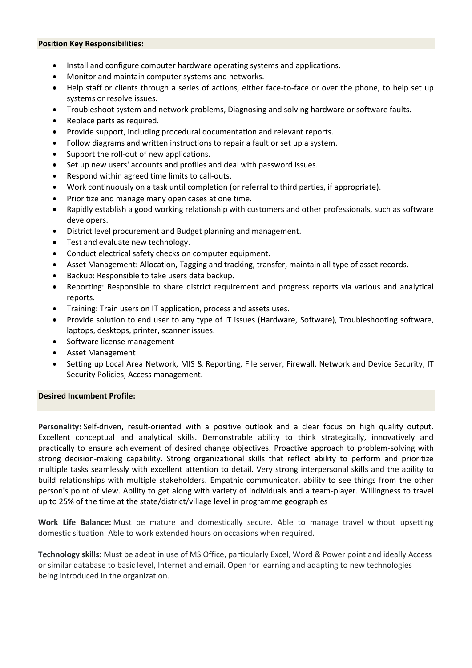#### **Position Key Responsibilities:**

- Install and configure computer hardware operating systems and applications.
- Monitor and maintain computer systems and networks.
- Help staff or clients through a series of actions, either face-to-face or over the phone, to help set up systems or resolve issues.
- Troubleshoot system and network problems, Diagnosing and solving hardware or software faults.
- Replace parts as required.
- Provide support, including procedural documentation and relevant reports.
- Follow diagrams and written instructions to repair a fault or set up a system.
- Support the roll-out of new applications.
- Set up new users' accounts and profiles and deal with password issues.
- Respond within agreed time limits to call-outs.
- Work continuously on a task until completion (or referral to third parties, if appropriate).
- Prioritize and manage many open cases at one time.
- Rapidly establish a good working relationship with customers and other professionals, such as software developers.
- District level procurement and Budget planning and management.
- Test and evaluate new technology.
- Conduct electrical safety checks on computer equipment.
- Asset Management: Allocation, Tagging and tracking, transfer, maintain all type of asset records.
- Backup: Responsible to take users data backup.
- Reporting: Responsible to share district requirement and progress reports via various and analytical reports.
- Training: Train users on IT application, process and assets uses.
- Provide solution to end user to any type of IT issues (Hardware, Software), Troubleshooting software, laptops, desktops, printer, scanner issues.
- Software license management
- Asset Management
- Setting up Local Area Network, MIS & Reporting, File server, Firewall, Network and Device Security, IT Security Policies, Access management.

# **Desired Incumbent Profile:**

**Personality:** Self-driven, result-oriented with a positive outlook and a clear focus on high quality output. Excellent conceptual and analytical skills. Demonstrable ability to think strategically, innovatively and practically to ensure achievement of desired change objectives. Proactive approach to problem-solving with strong decision-making capability. Strong organizational skills that reflect ability to perform and prioritize multiple tasks seamlessly with excellent attention to detail. Very strong interpersonal skills and the ability to build relationships with multiple stakeholders. Empathic communicator, ability to see things from the other person's point of view. Ability to get along with variety of individuals and a team-player. Willingness to travel up to 25% of the time at the state/district/village level in programme geographies

**Work Life Balance:** Must be mature and domestically secure. Able to manage travel without upsetting domestic situation. Able to work extended hours on occasions when required.

**Technology skills:** Must be adept in use of MS Office, particularly Excel, Word & Power point and ideally Access or similar database to basic level, Internet and email. Open for learning and adapting to new technologies being introduced in the organization.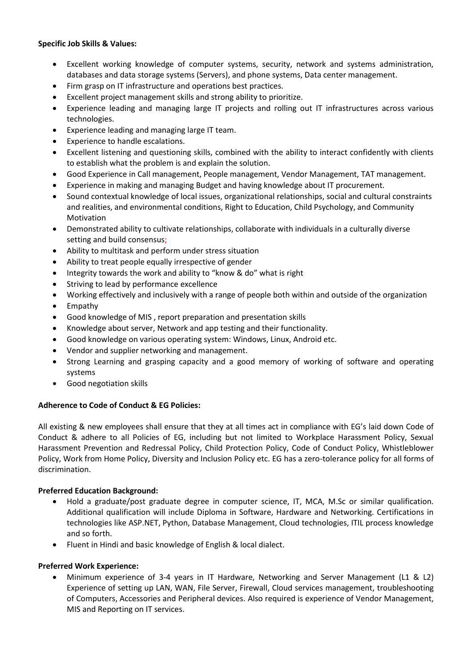## **Specific Job Skills & Values:**

- Excellent working knowledge of computer systems, security, network and systems administration, databases and data storage systems (Servers), and phone systems, Data center management.
- Firm grasp on IT infrastructure and operations best practices.
- Excellent project management skills and strong ability to prioritize.
- Experience leading and managing large IT projects and rolling out IT infrastructures across various technologies.
- Experience leading and managing large IT team.
- Experience to handle escalations.
- Excellent listening and questioning skills, combined with the ability to interact confidently with clients to establish what the problem is and explain the solution.
- Good Experience in Call management, People management, Vendor Management, TAT management.
- Experience in making and managing Budget and having knowledge about IT procurement.
- Sound contextual knowledge of local issues, organizational relationships, social and cultural constraints and realities, and environmental conditions, Right to Education, Child Psychology, and Community Motivation
- Demonstrated ability to cultivate relationships, collaborate with individuals in a culturally diverse setting and build consensus;
- Ability to multitask and perform under stress situation
- Ability to treat people equally irrespective of gender
- Integrity towards the work and ability to "know & do" what is right
- Striving to lead by performance excellence
- Working effectively and inclusively with a range of people both within and outside of the organization
- Empathy
- Good knowledge of MIS , report preparation and presentation skills
- Knowledge about server, Network and app testing and their functionality.
- Good knowledge on various operating system: Windows, Linux, Android etc.
- Vendor and supplier networking and management.
- Strong Learning and grasping capacity and a good memory of working of software and operating systems
- Good negotiation skills

# **Adherence to Code of Conduct & EG Policies:**

All existing & new employees shall ensure that they at all times act in compliance with EG's laid down Code of Conduct & adhere to all Policies of EG, including but not limited to Workplace Harassment Policy, Sexual Harassment Prevention and Redressal Policy, Child Protection Policy, Code of Conduct Policy, Whistleblower Policy, Work from Home Policy, Diversity and Inclusion Policy etc. EG has a zero-tolerance policy for all forms of discrimination.

# **Preferred Education Background:**

- Hold a graduate/post graduate degree in computer science, IT, MCA, M.Sc or similar qualification. Additional qualification will include Diploma in Software, Hardware and Networking. Certifications in technologies like ASP.NET, Python, Database Management, Cloud technologies, ITIL process knowledge and so forth.
- Fluent in Hindi and basic knowledge of English & local dialect.

# **Preferred Work Experience:**

• Minimum experience of 3-4 years in IT Hardware, Networking and Server Management (L1 & L2) Experience of setting up LAN, WAN, File Server, Firewall, Cloud services management, troubleshooting of Computers, Accessories and Peripheral devices. Also required is experience of Vendor Management, MIS and Reporting on IT services.